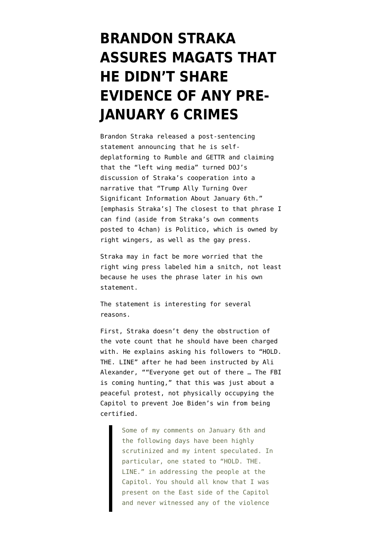## **[BRANDON STRAKA](https://www.emptywheel.net/2022/01/27/brandon-straka-assures-magats-that-he-didnt-share-evidence-of-any-pre-january-6-crimes/) [ASSURES MAGATS THAT](https://www.emptywheel.net/2022/01/27/brandon-straka-assures-magats-that-he-didnt-share-evidence-of-any-pre-january-6-crimes/) [HE DIDN'T SHARE](https://www.emptywheel.net/2022/01/27/brandon-straka-assures-magats-that-he-didnt-share-evidence-of-any-pre-january-6-crimes/) [EVIDENCE OF ANY PRE-](https://www.emptywheel.net/2022/01/27/brandon-straka-assures-magats-that-he-didnt-share-evidence-of-any-pre-january-6-crimes/)[JANUARY 6 CRIMES](https://www.emptywheel.net/2022/01/27/brandon-straka-assures-magats-that-he-didnt-share-evidence-of-any-pre-january-6-crimes/)**

Brandon Straka [released](https://twitter.com/BrandonStraka/status/1486480785595113473/) a post-sentencing statement announcing that he is selfdeplatforming to Rumble and GETTR and claiming that the "left wing media" turned DOJ's discussion of Straka's cooperation into a narrative that "Trump Ally Turning Over Significant Information About January 6th." [emphasis Straka's] The closest to that phrase I can find (aside from Straka's own comments posted to [4chan\)](https://boards.4chan.org/pol/thread/358166111) is [Politico](https://www.politico.com/news/2021/12/17/trump-ally-brandon-straka-information-525272), which is owned by right wingers, as well as [the gay press.](https://www.advocate.com/crime/2021/12/20/convicted-gay-trump-ally-brandon-straka-cooperating-authorities)

Straka may in fact be more worried that the right wing press [labeled him a snitch](https://www.redvoicemedia.com/2022/01/walk-away-campaign-founder-brandon-straka-offered-house-arrest-after-cooperating-with-feds-over-january-6/), not least because he uses the phrase later in his own statement.

The statement is interesting for several reasons.

First, Straka doesn't deny the obstruction of the vote count that he should have been charged with. He explains asking his followers to "HOLD. THE. LINE" after he had been [instructed](https://www.propublica.org/article/new-details-suggest-senior-trump-aides-knew-jan-6-rally-could-get-chaotic) by Ali Alexander, ""Everyone get out of there … The FBI is coming hunting," that this was just about a peaceful protest, not physically occupying the Capitol to prevent Joe Biden's win from being certified.

> Some of my comments on January 6th and the following days have been highly scrutinized and my intent speculated. In particular, one stated to "HOLD. THE. LINE." in addressing the people at the Capitol. You should all know that I was present on the East side of the Capitol and never witnessed any of the violence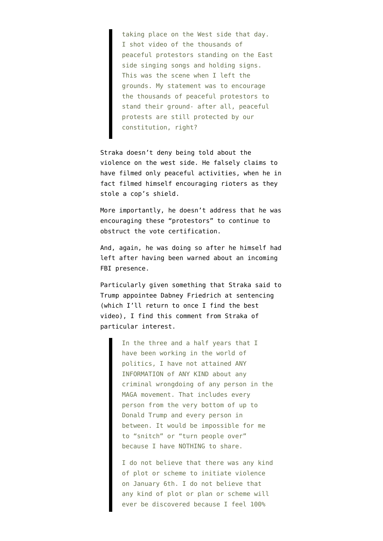taking place on the West side that day. I shot video of the thousands of peaceful protestors standing on the East side singing songs and holding signs. This was the scene when I left the grounds. My statement was to encourage the thousands of peaceful protestors to stand their ground- after all, peaceful protests are still protected by our constitution, right?

Straka doesn't deny being told about the violence on the west side. He falsely claims to have filmed only peaceful activities, when he in fact filmed himself encouraging rioters as they stole a cop's shield.

More importantly, he doesn't address that he was encouraging these "protestors" to continue to obstruct the vote certification.

And, again, he was doing so after he himself had left after having been warned about an incoming FBI presence.

Particularly given something that Straka said to Trump appointee Dabney Friedrich at sentencing (which I'll return to once I find the best video), I find this comment from Straka of particular interest.

> In the three and a half years that I have been working in the world of politics, I have not attained ANY INFORMATION of ANY KIND about any criminal wrongdoing of any person in the MAGA movement. That includes every person from the very bottom of up to Donald Trump and every person in between. It would be impossible for me to "snitch" or "turn people over" because I have NOTHING to share.

> I do not believe that there was any kind of plot or scheme to initiate violence on January 6th. I do not believe that any kind of plot or plan or scheme will ever be discovered because I feel 100%